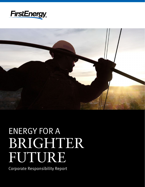



## ENERGY FOR A BRIGHTER FUTURE

Corporate Responsibility Report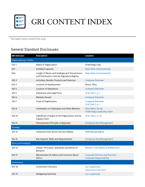

## GRI CONTENT INDEX

This report covers content from 2019.

## General Standard Disclosures

| <b>GRI Indicator</b>        | <b>Description</b>                                                                          | <b>Location</b>                                                            |
|-----------------------------|---------------------------------------------------------------------------------------------|----------------------------------------------------------------------------|
| Organizational Profile      |                                                                                             |                                                                            |
| $102 - 1$                   | Name of Organization                                                                        | FirstEnergy Corp.                                                          |
| EU <sub>1</sub>             | <b>Installed Capacity</b>                                                                   | Data Table: Environmental                                                  |
| EU4                         | Length of Above and Underground Transmission<br>and Distribution Lines by Regulatory Regime | Data Table: Environmental                                                  |
| $102 - 2$                   | Activities, Brands, Products and Services                                                   | <b>Company Overview</b>                                                    |
| $102 - 3$                   | Location of Headquarters                                                                    | Akron, Ohio                                                                |
| $102 - 4$                   | <b>Location of Operations</b>                                                               | <b>Company Overview</b>                                                    |
| $102 - 5$                   | Ownership and Legal Form                                                                    | 10-K, Part 1, p. 1                                                         |
| $102 - 6$                   | <b>Markets Served</b>                                                                       | <b>Company Overview</b>                                                    |
| $102 - 7$                   | Scale of Organization                                                                       | <b>Company Overview</b><br>10-K, Part 1, p. 1                              |
| $102 - 8$                   | Information on Employees and Other Workers                                                  | Data Table: Social<br>FirstEnergy Leadership Team                          |
| 102-10                      | Significant Changes to the Organization and its<br>Supply Chain                             | 10-K, Part 1, p. 12                                                        |
| 102-11                      | Precautionary Principle or Approach                                                         | <b>Enterprise Risk Management</b>                                          |
| <b>Strategy</b>             |                                                                                             |                                                                            |
| 102-14                      | <b>Statement from Senior Decision-Maker</b>                                                 | 2019 Annual Report                                                         |
| $102 - 15$                  | Key Impacts, Risks and Opportunities                                                        | <b>Enterprise Risk Management</b>                                          |
| <b>Ethics and Integrity</b> |                                                                                             |                                                                            |
| 102-16                      | Values, Principles, Standards and Norms of<br><b>Behavior</b>                               | Mission, Core Values and Behaviors                                         |
| 102-17                      | Mechanisms for Advice and Concerns About<br>Ethics                                          | <b>Corporate Policies and Practices</b><br><b>Corporate Responsibility</b> |
| Governance                  |                                                                                             |                                                                            |
| 102-18                      | Governance Structure                                                                        | <b>Our Leadership</b><br><b>Governance Structure</b>                       |
| 102-19                      | <b>Delegating Authority</b>                                                                 | Our Leadership                                                             |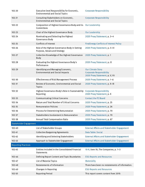| 102-20                     | Executive-level Responsibility for Economic,<br><b>Environmental and Social Topics</b> | <b>Corporate Responsibility</b>                                                                |
|----------------------------|----------------------------------------------------------------------------------------|------------------------------------------------------------------------------------------------|
| $102 - 21$                 | Consulting Stakeholders on Economic,<br><b>Environmental and Social Topics</b>         | <b>Corporate Responsibility</b>                                                                |
| 102-22                     | Composition of Highest Governance Body and its Our Leadership<br>Committees            |                                                                                                |
| 102-23                     | Chair of the Highest Governance Body                                                   | <b>Our Leadership</b>                                                                          |
| 102-24                     | Nominating and Selecting the Highest<br>Governance Body                                | 2020 Proxy Statement, p. 3-4                                                                   |
| 102-25                     | Conflicts of Interest                                                                  | <b>FirstEnergy Conflicts of Interest Policy</b>                                                |
| 102-26                     | Role of the Highest Governance Body in Setting<br>Purpose, Values and Strategy         | 2020 Proxy Statement, p. II-III                                                                |
| $102 - 27$                 | Collective Knowledge of the Highest Governance<br><b>Body</b>                          | 2020 Proxy Statement, p. 1                                                                     |
| 102-28                     | Evaluating the Highest Governance Body's<br>Performance                                | 2020 Proxy Statement, p. III                                                                   |
| 102-29                     | Identifying and Managing Economic,<br><b>Environmental and Social Impacts</b>          | <b>Our Climate Story</b><br><b>Corporate Responsibility</b><br>2020 Proxy Statement, p. V, Vii |
| 102-30                     | <b>Effectiveness of Risk Management Process</b>                                        | 2020 Proxy Statement, p. 1-6                                                                   |
| 102-31                     | Review of Economic, Environmental and Social<br>Topics                                 | 2020 Proxy Statement, p. X-XI                                                                  |
| 102-32                     | Highest Governance Body's Role in Sustainability<br>Reporting                          | <b>Corporate Responsibility</b><br>2020 Proxy Statement, p. X                                  |
| 102-33                     | <b>Communicating Critical Concerns</b>                                                 | <b>Contact the FE Board</b>                                                                    |
| 102-34                     | Nature and Total Number of Critical Concerns                                           | 2020 Proxy Statement, p. 25                                                                    |
| 102-35                     | <b>Remuneration Policies</b>                                                           | 2020 Proxy Statement, p. 26                                                                    |
| 102-36                     | Process for Determining Remuneration                                                   | 2020 Proxy Statement, p. 70                                                                    |
| 102-37                     | Stakeholders Involvement in Remuneration                                               | 2020 Proxy Statement, p. 70                                                                    |
| 102-38                     | Annual Total Compensation Ratio                                                        | 2020 Proxy Statement, p. 87                                                                    |
| Stakeholder Engagement     |                                                                                        |                                                                                                |
| 102-40                     | List of Stakeholder Groups                                                             | <b>External Affairs and Stakeholder Engagement</b>                                             |
| 102-41                     | <b>Collective Bargaining Agreements</b>                                                | Data Table: Social                                                                             |
| 102-42                     | Identifying and Selecting Stakeholders                                                 | <b>External Affairs and Stakeholder Engagement</b>                                             |
| 102-43                     | Approach to Stakeholder Engagement                                                     | <b>External Affairs and Stakeholder Engagement</b>                                             |
| <b>Reporting Practices</b> |                                                                                        |                                                                                                |
| 102-45                     | Entities Included in the Consolidated Financial<br>Statements                          | 10-K, Item 1A, The Companies, p. 1-3                                                           |
| 102-46                     | Defining Report Content and Topic Boundaries                                           | <b>ESG Reports and Resources</b>                                                               |
| 102-47                     | List of Material Topics                                                                | <b>Materiality</b>                                                                             |
| 102-48                     | Restatements of Information                                                            | There have been no restatements of information.                                                |
| 102-49                     | Changes in Reporting                                                                   | <b>ESG Reports and Resources</b>                                                               |
| 102-50                     | <b>Reporting Period</b>                                                                | This report covers content from 2019.                                                          |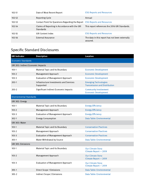| 102-51     | Date of Most Recent Report                                                 | <b>ESG Reports and Resources</b>                            |
|------------|----------------------------------------------------------------------------|-------------------------------------------------------------|
| $102 - 52$ | Reporting Cycle                                                            | Annual                                                      |
| $102 - 53$ | Contact Point for Questions Regarding the Report ESG Reports and Resources |                                                             |
| $102 - 54$ | Claims of Reporting in Accordance with the GRI<br><b>Standards</b>         | This report references the 2016 GRI Standards.              |
| $102 - 55$ | <b>GRI Content Index</b>                                                   | <b>ESG Reports and Resources</b>                            |
| 102-56     | <b>External Assurance</b>                                                  | The data in this report has not been externally<br>assured. |

## Specific Standard Disclosures

| <b>GRI Indicator</b>               | <b>Description</b>                                   | <b>Location</b>                                                      |
|------------------------------------|------------------------------------------------------|----------------------------------------------------------------------|
| <b>Economic Standards</b>          |                                                      |                                                                      |
| GRI 203: Indirect Economic Impacts |                                                      |                                                                      |
| $103-1$                            | Material Topic and Its Boundary                      | <b>Economic Development</b>                                          |
| $103 - 2$                          | Management Approach                                  | <b>Economic Development</b>                                          |
| $103-3$                            | <b>Evaluation of Management Approach</b>             | <b>Economic Development</b>                                          |
| $203-1$                            | Infrastructure Investments and Services<br>Supported | <b>Emerging Technologies</b><br><b>Transmission and Distribution</b> |
| $203-2$                            | Significant Indirect Economic Impacts                | <b>Community Involvement</b><br><b>Economic Development</b>          |
| <b>Environmental Standards</b>     |                                                      |                                                                      |
| GRI 302: Energy                    |                                                      |                                                                      |
| $103-1$                            | Material Topic and Its Boundary                      | <b>Energy Efficiency</b>                                             |
| $103 - 2$                          | Management Approach                                  | <b>Energy Efficiency</b>                                             |
| $103 - 3$                          | <b>Evaluation of Management Approach</b>             | <b>Energy Efficiency</b>                                             |
| 302-1                              | <b>Energy Consumption</b>                            | Data Table: Environmental                                            |
| GRI 303: Water                     |                                                      |                                                                      |
| $103-1$                            | Material Topic and Its Boundary                      | <b>Conservation Practices</b>                                        |
| $103 - 2$                          | Management Approach                                  | <b>Conservation Practices</b>                                        |
| $103-3$                            | <b>Evaluation of Management Approach</b>             | <b>Conservation Practices</b>                                        |
| 303-1                              | Water Withdrawal by Source                           | Data Table: Environmental                                            |
| GRI 305: Emissions                 |                                                      |                                                                      |
| $103-1$                            | Material Topic and Its Boundary                      | <b>Our Climate Story</b><br>Climate Report - 2019                    |
| $103 - 2$                          | Management Approach                                  | <b>Our Climate Story</b><br>Climate Report - 2019                    |
| $103-3$                            | <b>Evaluation of Management Approach</b>             | <b>Our Climate Story</b><br>Climate Report - 2019                    |
| 305-1                              | <b>Direct Scope 1 Emissions</b>                      | Data Table: Environmental                                            |
| $305 - 2$                          | <b>Indirect Scope 2 Emissions</b>                    | Data Table: Environmental                                            |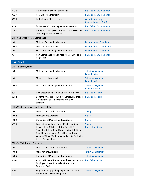| $305 - 3$                               | Other Indirect Scope 3 Emissions                                                                                                                                                                                                                                     | Data Table: Environmental                          |
|-----------------------------------------|----------------------------------------------------------------------------------------------------------------------------------------------------------------------------------------------------------------------------------------------------------------------|----------------------------------------------------|
| 305-4                                   | <b>GHG Emission Intensity</b>                                                                                                                                                                                                                                        | Data Table: Environmental                          |
| $305 - 5$                               | <b>Reduction of GHG Emissions</b>                                                                                                                                                                                                                                    | <b>Our Climate Story</b><br>Climate Report - 2019  |
| $305 - 6$                               | <b>Emissions of Ozone Depleting Substances</b>                                                                                                                                                                                                                       | Data Table: Environmental                          |
| 305-7                                   | Nitrogen Oxides (NOx), Sulfide Oxides (SOx) and<br>other Significant Emissions                                                                                                                                                                                       | Data Table: Environmental                          |
| GRI 307: Environmental Compliance       |                                                                                                                                                                                                                                                                      |                                                    |
| $103-1$                                 | Material Topic and Its Boundary                                                                                                                                                                                                                                      | <b>Environmental Compliance</b>                    |
| $103 - 2$                               | Management Approach                                                                                                                                                                                                                                                  | <b>Environmental Compliance</b>                    |
| $103-3$                                 | <b>Evaluation of Management Approach</b>                                                                                                                                                                                                                             | <b>Environmental Compliance</b>                    |
| 307-1                                   | Non-Compliance with Environmental Laws and<br>Regulations                                                                                                                                                                                                            | Data Table: Environmental                          |
| <b>Social Standards</b>                 |                                                                                                                                                                                                                                                                      |                                                    |
| GRI 401: Employment                     |                                                                                                                                                                                                                                                                      |                                                    |
| $103-1$                                 | Material Topic and Its Boundary                                                                                                                                                                                                                                      | <b>Talent Management</b><br><b>Labor Relations</b> |
| $103 - 2$                               | Management Approach                                                                                                                                                                                                                                                  | <b>Talent Management</b><br><b>Labor Relations</b> |
| $103-3$                                 | <b>Evaluation of Management Approach</b>                                                                                                                                                                                                                             | <b>Talent Management</b><br><b>Labor Relations</b> |
| 401-1                                   | New Employee Hires and Employee Turnover                                                                                                                                                                                                                             | Data Table: Social                                 |
| 401-2                                   | Benefits Provided to Full-time Employees that are Data Table: Social<br>Not Provided to Temporary or Part-time<br>Employees                                                                                                                                          |                                                    |
| GRI 403: Occupational Health and Safety |                                                                                                                                                                                                                                                                      |                                                    |
| $103-1$                                 | Material Topic and Its Boundary                                                                                                                                                                                                                                      | <b>Safety</b>                                      |
| $103-2$                                 | Management Approach                                                                                                                                                                                                                                                  | <b>Safety</b>                                      |
| $103-3$                                 | <b>Evaluation of Management Approach</b>                                                                                                                                                                                                                             | <b>Safety</b>                                      |
| 403-2                                   | Types of Injury, Injury Rate (IR), Occupational<br>Disease Rate (ODR), Lost Day Rate (LDR),<br>Absentee Rate (AR) and Work-related Fatalities,<br>for All Employees and Other Non-employee<br>Workers Whose Work, or Workplace, is Controlled<br>by the Organization | <b>Safety</b><br>Data Table: Social                |
| GRI 404: Training and Education         |                                                                                                                                                                                                                                                                      |                                                    |
| $103-1$                                 | Material Topic and Its Boundary                                                                                                                                                                                                                                      | <b>Talent Management</b>                           |
| $103 - 2$                               | Management Approach                                                                                                                                                                                                                                                  | <b>Talent Management</b>                           |
| $103 - 3$                               | <b>Evaluation of Management Approach</b>                                                                                                                                                                                                                             | <b>Talent Management</b>                           |
| 404-1                                   | Average Hours of Training that the Organization's<br>Employees Have Undertaken During the<br><b>Reporting Period</b>                                                                                                                                                 | Data Table: Social                                 |
| 404-2                                   | Programs for Upgrading Employee Skills and<br><b>Transition Assistance Programs</b>                                                                                                                                                                                  | <b>Talent Management</b>                           |